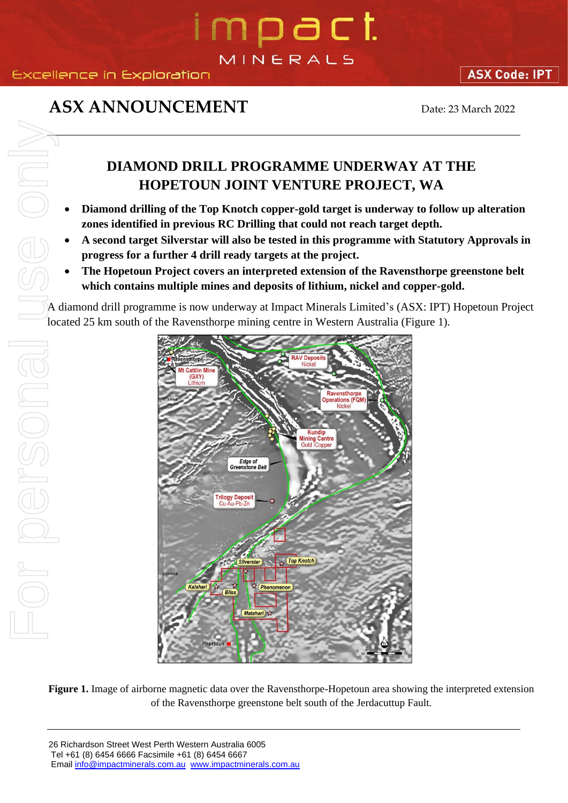### Excellence in Exploration

### **ASX ANNOUNCEMENT** Date: 23 March 2022

### **DIAMOND DRILL PROGRAMME UNDERWAY AT THE HOPETOUN JOINT VENTURE PROJECT, WA**

- **Diamond drilling of the Top Knotch copper-gold target is underway to follow up alteration zones identified in previous RC Drilling that could not reach target depth.**
- **A second target Silverstar will also be tested in this programme with Statutory Approvals in progress for a further 4 drill ready targets at the project.**
- **The Hopetoun Project covers an interpreted extension of the Ravensthorpe greenstone belt which contains multiple mines and deposits of lithium, nickel and copper-gold.**

A diamond drill programme is now underway at Impact Minerals Limited's (ASX: IPT) Hopetoun Project located 25 km south of the Ravensthorpe mining centre in Western Australia (Figure 1).



**Figure 1.** Image of airborne magnetic data over the Ravensthorpe-Hopetoun area showing the interpreted extension of the Ravensthorpe greenstone belt south of the Jerdacuttup Fault.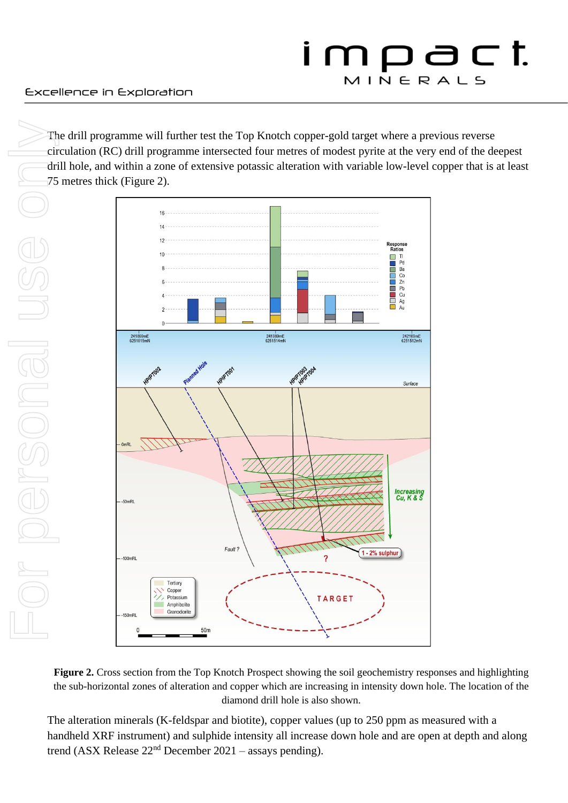The drill programme will further test the Top Knotch copper-gold target where a previous reverse circulation (RC) drill programme intersected four metres of modest pyrite at the very end of the deepest drill hole, and within a zone of extensive potassic alteration with variable low-level copper that is at least 75 metres thick (Figure 2).



**Figure 2.** Cross section from the Top Knotch Prospect showing the soil geochemistry responses and highlighting the sub-horizontal zones of alteration and copper which are increasing in intensity down hole. The location of the diamond drill hole is also shown.

The alteration minerals (K-feldspar and biotite), copper values (up to 250 ppm as measured with a handheld XRF instrument) and sulphide intensity all increase down hole and are open at depth and along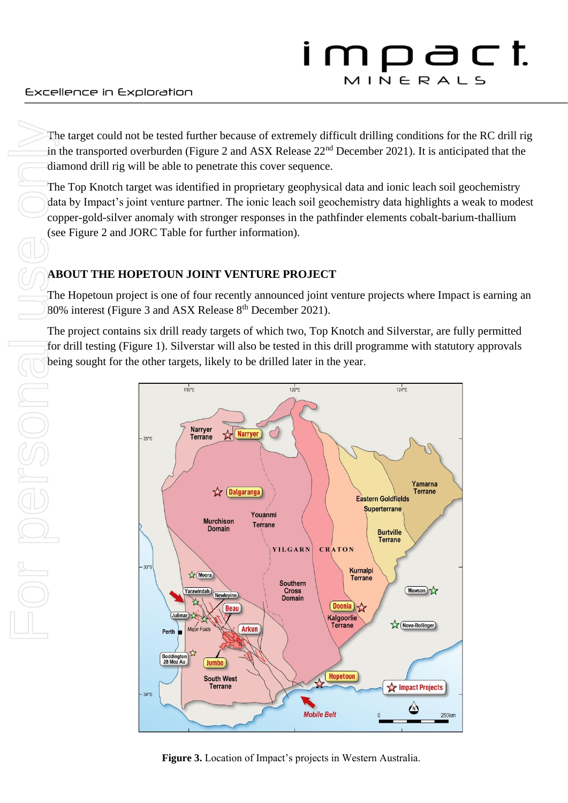The target could not be tested further because of extremely difficult drilling conditions for the RC drill rig in the transported overburden (Figure 2 and ASX Release 22<sup>nd</sup> December 2021). It is anticipated that the diamond drill rig will be able to penetrate this cover sequence.

The Top Knotch target was identified in proprietary geophysical data and ionic leach soil geochemistry data by Impact's joint venture partner. The ionic leach soil geochemistry data highlights a weak to modest copper-gold-silver anomaly with stronger responses in the pathfinder elements cobalt-barium-thallium (see Figure 2 and JORC Table for further information).

### **ABOUT THE HOPETOUN JOINT VENTURE PROJECT**

The Hopetoun project is one of four recently announced joint venture projects where Impact is earning an 80% interest (Figure 3 and ASX Release  $8<sup>th</sup>$  December 2021).

The project contains six drill ready targets of which two, Top Knotch and Silverstar, are fully permitted for drill testing (Figure 1). Silverstar will also be tested in this drill programme with statutory approvals being sought for the other targets, likely to be drilled later in the year.



**Figure 3.** Location of Impact's projects in Western Australia.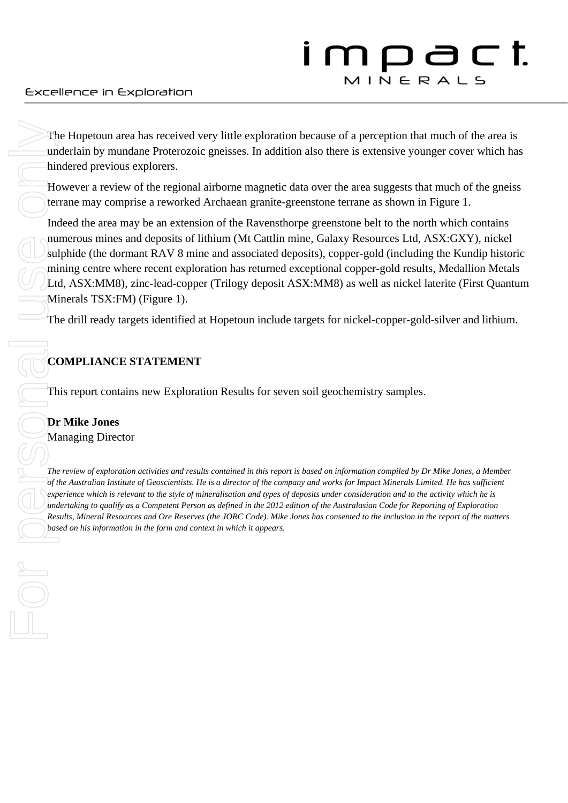The Hopetoun area has received very little exploration because of a perception that much of the area is underlain by mundane Proterozoic gneisses. In addition also there is extensive younger cover which has hindered previous explorers.

However a review of the regional airborne magnetic data over the area suggests that much of the gneiss terrane may comprise a reworked Archaean granite-greenstone terrane as shown in Figure 1.

Indeed the area may be an extension of the Ravensthorpe greenstone belt to the north which contains numerous mines and deposits of lithium (Mt Cattlin mine, Galaxy Resources Ltd, ASX:GXY), nickel sulphide (the dormant RAV 8 mine and associated deposits), copper-gold (including the Kundip historic mining centre where recent exploration has returned exceptional copper-gold results, Medallion Metals Ltd, ASX:MM8), zinc-lead-copper (Trilogy deposit ASX:MM8) as well as nickel laterite (First Quantum Minerals TSX:FM) (Figure 1). The Hopetoun area has received very little exploration diffused previous explorers.<br> **based on the form and a** information in the form and a information of the regional airborne magnetic lence and context of the form and c

The drill ready targets identified at Hopetoun include targets for nickel-copper-gold-silver and lithium.

### **COMPLIANCE STATEMENT**

This report contains new Exploration Results for seven soil geochemistry samples.

#### **Dr Mike Jones** Managing Director

*The review of exploration activities and results contained in this report is based on information compiled by Dr Mike Jones, a Member of the Australian Institute of Geoscientists. He is a director of the company and works for Impact Minerals Limited. He has sufficient experience which is relevant to the style of mineralisation and types of deposits under consideration and to the activity which he is undertaking to qualify as a Competent Person as defined in the 2012 edition of the Australasian Code for Reporting of Exploration Results, Mineral Resources and Ore Reserves (the JORC Code). Mike Jones has consented to the inclusion in the report of the matters*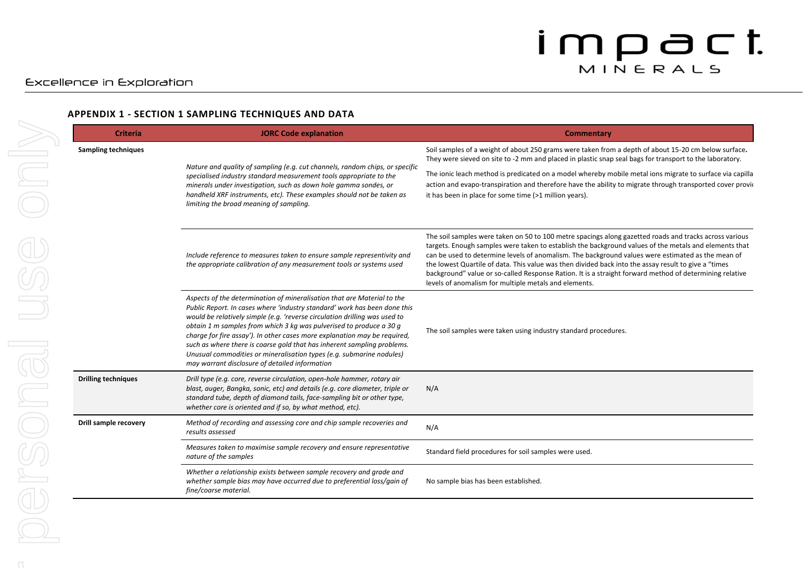#### **APPENDIX 1 - SECTION 1 SAMPLING TECHNIQUES AND DATA**

| <b>Criteria</b>            | <b>JORC Code explanation</b>                                                                                                                                                                                                                                                                                                                                                                                                                                                                                                                                                                | Commentary                                                                                                                                                                                                                                                                                                                                                                                                                                                                                                                                                                                       |
|----------------------------|---------------------------------------------------------------------------------------------------------------------------------------------------------------------------------------------------------------------------------------------------------------------------------------------------------------------------------------------------------------------------------------------------------------------------------------------------------------------------------------------------------------------------------------------------------------------------------------------|--------------------------------------------------------------------------------------------------------------------------------------------------------------------------------------------------------------------------------------------------------------------------------------------------------------------------------------------------------------------------------------------------------------------------------------------------------------------------------------------------------------------------------------------------------------------------------------------------|
| <b>Sampling techniques</b> | Nature and quality of sampling (e.g. cut channels, random chips, or specific<br>specialised industry standard measurement tools appropriate to the<br>minerals under investigation, such as down hole gamma sondes, or<br>handheld XRF instruments, etc). These examples should not be taken as<br>limiting the broad meaning of sampling.                                                                                                                                                                                                                                                  | Soil samples of a weight of about 250 grams were taken from a depth of about 15-20 cm below surface.<br>They were sieved on site to -2 mm and placed in plastic snap seal bags for transport to the laboratory.                                                                                                                                                                                                                                                                                                                                                                                  |
|                            |                                                                                                                                                                                                                                                                                                                                                                                                                                                                                                                                                                                             | The ionic leach method is predicated on a model whereby mobile metal ions migrate to surface via capilla<br>action and evapo-transpiration and therefore have the ability to migrate through transported cover provided<br>it has been in place for some time (>1 million years).                                                                                                                                                                                                                                                                                                                |
|                            | Include reference to measures taken to ensure sample representivity and<br>the appropriate calibration of any measurement tools or systems used                                                                                                                                                                                                                                                                                                                                                                                                                                             | The soil samples were taken on 50 to 100 metre spacings along gazetted roads and tracks across various<br>targets. Enough samples were taken to establish the background values of the metals and elements that<br>can be used to determine levels of anomalism. The background values were estimated as the mean of<br>the lowest Quartile of data. This value was then divided back into the assay result to give a "times<br>background" value or so-called Response Ration. It is a straight forward method of determining relative<br>levels of anomalism for multiple metals and elements. |
|                            | Aspects of the determination of mineralisation that are Material to the<br>Public Report. In cases where 'industry standard' work has been done this<br>would be relatively simple (e.g. 'reverse circulation drilling was used to<br>obtain 1 m samples from which 3 kg was pulverised to produce a 30 g<br>charge for fire assay'). In other cases more explanation may be required,<br>such as where there is coarse gold that has inherent sampling problems.<br>Unusual commodities or mineralisation types (e.g. submarine nodules)<br>may warrant disclosure of detailed information | The soil samples were taken using industry standard procedures.                                                                                                                                                                                                                                                                                                                                                                                                                                                                                                                                  |
| <b>Drilling techniques</b> | Drill type (e.g. core, reverse circulation, open-hole hammer, rotary air<br>blast, auger, Bangka, sonic, etc) and details (e.g. core diameter, triple or<br>standard tube, depth of diamond tails, face-sampling bit or other type,<br>whether core is oriented and if so, by what method, etc).                                                                                                                                                                                                                                                                                            | N/A                                                                                                                                                                                                                                                                                                                                                                                                                                                                                                                                                                                              |
| Drill sample recovery      | Method of recording and assessing core and chip sample recoveries and<br>results assessed                                                                                                                                                                                                                                                                                                                                                                                                                                                                                                   | N/A                                                                                                                                                                                                                                                                                                                                                                                                                                                                                                                                                                                              |
|                            | Measures taken to maximise sample recovery and ensure representative<br>nature of the samples                                                                                                                                                                                                                                                                                                                                                                                                                                                                                               | Standard field procedures for soil samples were used.                                                                                                                                                                                                                                                                                                                                                                                                                                                                                                                                            |
|                            | Whether a relationship exists between sample recovery and grade and<br>whether sample bias may have occurred due to preferential loss/gain of<br>fine/coarse material.                                                                                                                                                                                                                                                                                                                                                                                                                      | No sample bias has been established.                                                                                                                                                                                                                                                                                                                                                                                                                                                                                                                                                             |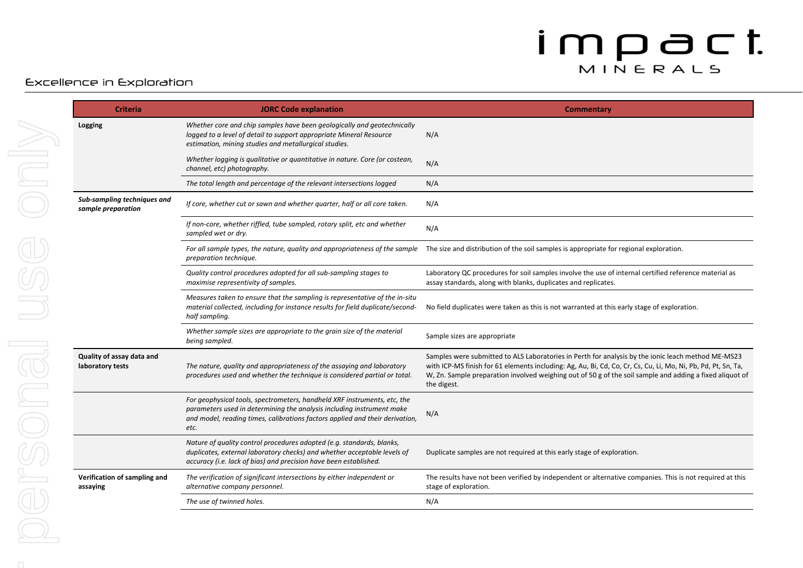### Excellence in Exploration

| <b>Criteria</b>                                   | <b>JORC Code explanation</b>                                                                                                                                                                                                              | Commentary                                                                                                                                                                                                                                                                                                                                     |
|---------------------------------------------------|-------------------------------------------------------------------------------------------------------------------------------------------------------------------------------------------------------------------------------------------|------------------------------------------------------------------------------------------------------------------------------------------------------------------------------------------------------------------------------------------------------------------------------------------------------------------------------------------------|
| Logging                                           | Whether core and chip samples have been geologically and geotechnically<br>logged to a level of detail to support appropriate Mineral Resource<br>estimation, mining studies and metallurgical studies.                                   | N/A                                                                                                                                                                                                                                                                                                                                            |
|                                                   | Whether logging is qualitative or quantitative in nature. Core (or costean,<br>channel, etc) photography.                                                                                                                                 | N/A                                                                                                                                                                                                                                                                                                                                            |
|                                                   | The total length and percentage of the relevant intersections logged                                                                                                                                                                      | N/A                                                                                                                                                                                                                                                                                                                                            |
| Sub-sampling techniques and<br>sample preparation | If core, whether cut or sawn and whether quarter, half or all core taken.                                                                                                                                                                 | N/A                                                                                                                                                                                                                                                                                                                                            |
|                                                   | If non-core, whether riffled, tube sampled, rotary split, etc and whether<br>sampled wet or dry.                                                                                                                                          | N/A                                                                                                                                                                                                                                                                                                                                            |
|                                                   | preparation technique.                                                                                                                                                                                                                    | For all sample types, the nature, quality and appropriateness of the sample The size and distribution of the soil samples is appropriate for regional exploration.                                                                                                                                                                             |
|                                                   | Quality control procedures adopted for all sub-sampling stages to<br>maximise representivity of samples.                                                                                                                                  | Laboratory QC procedures for soil samples involve the use of internal certified reference material as<br>assay standards, along with blanks, duplicates and replicates.                                                                                                                                                                        |
|                                                   | Measures taken to ensure that the sampling is representative of the in-situ<br>material collected, including for instance results for field duplicate/second-<br>half sampling.                                                           | No field duplicates were taken as this is not warranted at this early stage of exploration.                                                                                                                                                                                                                                                    |
|                                                   | Whether sample sizes are appropriate to the grain size of the material<br>being sampled.                                                                                                                                                  | Sample sizes are appropriate                                                                                                                                                                                                                                                                                                                   |
| Quality of assay data and<br>laboratory tests     | The nature, quality and appropriateness of the assaying and laboratory<br>procedures used and whether the technique is considered partial or total.                                                                                       | Samples were submitted to ALS Laboratories in Perth for analysis by the ionic leach method ME-MS23<br>with ICP-MS finish for 61 elements including: Ag, Au, Bi, Cd, Co, Cr, Cs, Cu, Li, Mo, Ni, Pb, Pd, Pt, Sn, Ta,<br>W, Zn. Sample preparation involved weighing out of 50 g of the soil sample and adding a fixed aliquot of<br>the digest. |
|                                                   | For geophysical tools, spectrometers, handheld XRF instruments, etc, the<br>parameters used in determining the analysis including instrument make<br>and model, reading times, calibrations factors applied and their derivation,<br>etc. | N/A                                                                                                                                                                                                                                                                                                                                            |
|                                                   | Nature of quality control procedures adopted (e.g. standards, blanks,<br>duplicates, external laboratory checks) and whether acceptable levels of<br>accuracy (i.e. lack of bias) and precision have been established.                    | Duplicate samples are not required at this early stage of exploration.                                                                                                                                                                                                                                                                         |
| Verification of sampling and<br>assaying          | The verification of significant intersections by either independent or<br>alternative company personnel.                                                                                                                                  | The results have not been verified by independent or alternative companies. This is not required at this<br>stage of exploration.                                                                                                                                                                                                              |
|                                                   | The use of twinned holes.                                                                                                                                                                                                                 | N/A                                                                                                                                                                                                                                                                                                                                            |
|                                                   |                                                                                                                                                                                                                                           |                                                                                                                                                                                                                                                                                                                                                |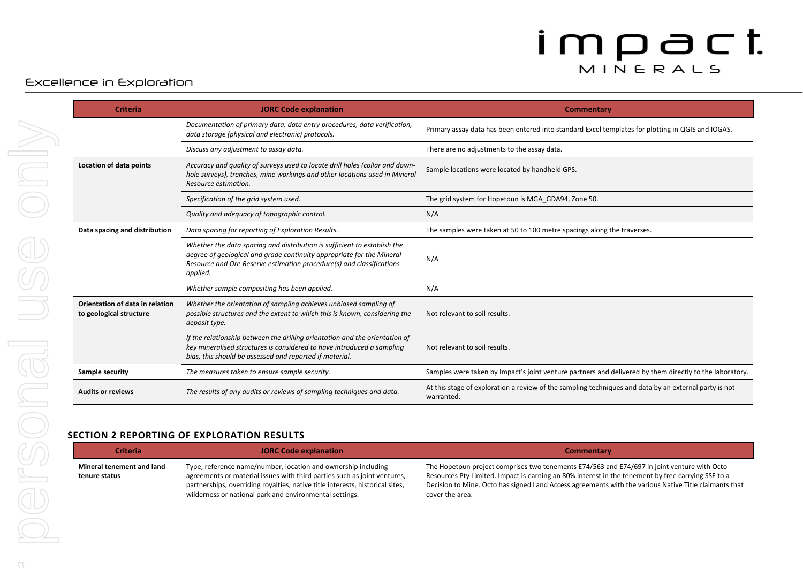#### Excellence in Exploration

| <b>Criteria</b>                                            | <b>JORC Code explanation</b>                                                                                                                                                                                                          | Commentary                                                                                                          |
|------------------------------------------------------------|---------------------------------------------------------------------------------------------------------------------------------------------------------------------------------------------------------------------------------------|---------------------------------------------------------------------------------------------------------------------|
|                                                            | Documentation of primary data, data entry procedures, data verification,<br>data storage (physical and electronic) protocols.                                                                                                         | Primary assay data has been entered into standard Excel templates for plotting in QGIS and IOGAS.                   |
|                                                            | Discuss any adjustment to assay data.                                                                                                                                                                                                 | There are no adjustments to the assay data.                                                                         |
| Location of data points                                    | Accuracy and quality of surveys used to locate drill holes (collar and down-<br>hole surveys), trenches, mine workings and other locations used in Mineral<br>Resource estimation.                                                    | Sample locations were located by handheld GPS.                                                                      |
|                                                            | Specification of the grid system used.                                                                                                                                                                                                | The grid system for Hopetoun is MGA GDA94, Zone 50.                                                                 |
|                                                            | Quality and adequacy of topographic control.                                                                                                                                                                                          | N/A                                                                                                                 |
| Data spacing and distribution                              | Data spacing for reporting of Exploration Results.                                                                                                                                                                                    | The samples were taken at 50 to 100 metre spacings along the traverses.                                             |
|                                                            | Whether the data spacing and distribution is sufficient to establish the<br>degree of geological and grade continuity appropriate for the Mineral<br>Resource and Ore Reserve estimation procedure(s) and classifications<br>applied. | N/A                                                                                                                 |
|                                                            | Whether sample compositing has been applied.                                                                                                                                                                                          | N/A                                                                                                                 |
| Orientation of data in relation<br>to geological structure | Whether the orientation of sampling achieves unbiased sampling of<br>possible structures and the extent to which this is known, considering the<br>deposit type.                                                                      | Not relevant to soil results.                                                                                       |
|                                                            | If the relationship between the drilling orientation and the orientation of<br>key mineralised structures is considered to have introduced a sampling<br>bias, this should be assessed and reported if material.                      | Not relevant to soil results.                                                                                       |
| Sample security                                            | The measures taken to ensure sample security.                                                                                                                                                                                         | Samples were taken by Impact's joint venture partners and delivered by them directly to the laboratory.             |
| <b>Audits or reviews</b>                                   | The results of any audits or reviews of sampling techniques and data.                                                                                                                                                                 | At this stage of exploration a review of the sampling techniques and data by an external party is not<br>warranted. |

#### **SECTION 2 REPORTING OF EXPLORATION RESULTS**

| <b>Criteria</b>                            | <b>JORC Code explanation</b>                                                                                                                                                                                                                                                          | <b>Commentary</b>                                                                                                                                                                                                                                                                                                             |
|--------------------------------------------|---------------------------------------------------------------------------------------------------------------------------------------------------------------------------------------------------------------------------------------------------------------------------------------|-------------------------------------------------------------------------------------------------------------------------------------------------------------------------------------------------------------------------------------------------------------------------------------------------------------------------------|
| Mineral tenement and land<br>tenure status | Type, reference name/number, location and ownership including<br>agreements or material issues with third parties such as joint ventures,<br>partnerships, overriding royalties, native title interests, historical sites,<br>wilderness or national park and environmental settings. | The Hopetoun project comprises two tenements E74/563 and E74/697 in joint venture with Octo<br>Resources Pty Limited. Impact is earning an 80% interest in the tenement by free carrying SSE to a<br>Decision to Mine. Octo has signed Land Access agreements with the various Native Title claimants that<br>cover the area. |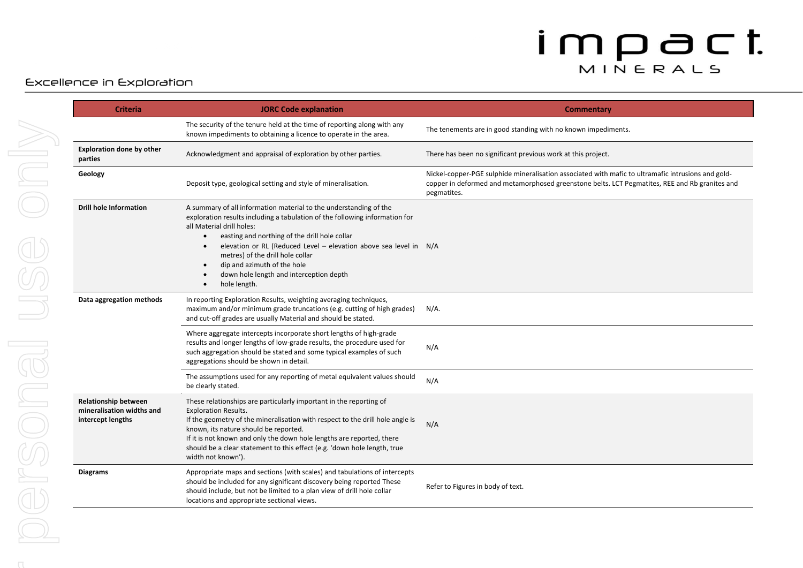### Excellence in Exploration

| <b>Criteria</b>                                                               | <b>JORC Code explanation</b>                                                                                                                                                                                                                                                                                                                                                                                                                                                          | Commentary                                                                                                                                                                                                          |
|-------------------------------------------------------------------------------|---------------------------------------------------------------------------------------------------------------------------------------------------------------------------------------------------------------------------------------------------------------------------------------------------------------------------------------------------------------------------------------------------------------------------------------------------------------------------------------|---------------------------------------------------------------------------------------------------------------------------------------------------------------------------------------------------------------------|
|                                                                               | The security of the tenure held at the time of reporting along with any<br>known impediments to obtaining a licence to operate in the area.                                                                                                                                                                                                                                                                                                                                           | The tenements are in good standing with no known impediments.                                                                                                                                                       |
| <b>Exploration done by other</b><br>parties                                   | Acknowledgment and appraisal of exploration by other parties.                                                                                                                                                                                                                                                                                                                                                                                                                         | There has been no significant previous work at this project.                                                                                                                                                        |
| Geology                                                                       | Deposit type, geological setting and style of mineralisation.                                                                                                                                                                                                                                                                                                                                                                                                                         | Nickel-copper-PGE sulphide mineralisation associated with mafic to ultramafic intrusions and gold-<br>copper in deformed and metamorphosed greenstone belts. LCT Pegmatites, REE and Rb granites and<br>pegmatites. |
| <b>Drill hole Information</b>                                                 | A summary of all information material to the understanding of the<br>exploration results including a tabulation of the following information for<br>all Material drill holes:<br>easting and northing of the drill hole collar<br>$\bullet$<br>elevation or RL (Reduced Level - elevation above sea level in N/A<br>$\bullet$<br>metres) of the drill hole collar<br>dip and azimuth of the hole<br>$\bullet$<br>down hole length and interception depth<br>hole length.<br>$\bullet$ |                                                                                                                                                                                                                     |
| Data aggregation methods                                                      | In reporting Exploration Results, weighting averaging techniques,<br>maximum and/or minimum grade truncations (e.g. cutting of high grades)<br>and cut-off grades are usually Material and should be stated.                                                                                                                                                                                                                                                                          | $N/A$ .                                                                                                                                                                                                             |
|                                                                               | Where aggregate intercepts incorporate short lengths of high-grade<br>results and longer lengths of low-grade results, the procedure used for<br>such aggregation should be stated and some typical examples of such<br>aggregations should be shown in detail.                                                                                                                                                                                                                       | N/A                                                                                                                                                                                                                 |
|                                                                               | The assumptions used for any reporting of metal equivalent values should<br>be clearly stated.                                                                                                                                                                                                                                                                                                                                                                                        | N/A                                                                                                                                                                                                                 |
| <b>Relationship between</b><br>mineralisation widths and<br>intercept lengths | These relationships are particularly important in the reporting of<br><b>Exploration Results.</b><br>If the geometry of the mineralisation with respect to the drill hole angle is<br>known, its nature should be reported.<br>If it is not known and only the down hole lengths are reported, there<br>should be a clear statement to this effect (e.g. 'down hole length, true<br>width not known').                                                                                | N/A                                                                                                                                                                                                                 |
| Diagrams                                                                      | Appropriate maps and sections (with scales) and tabulations of intercepts<br>should be included for any significant discovery being reported These<br>should include, but not be limited to a plan view of drill hole collar<br>locations and appropriate sectional views.                                                                                                                                                                                                            | Refer to Figures in body of text.                                                                                                                                                                                   |